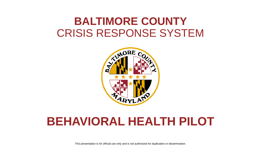## **BALTIMORE COUNTY**  CRISIS RESPONSE SYSTEM



## **BEHAVIORAL HEALTH PILOT**

This presentation is for official use only and is not authorized for duplication or dissemination.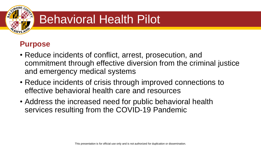

# Behavioral Health Pilot



- Reduce incidents of conflict, arrest, prosecution, and commitment through effective diversion from the criminal justice and emergency medical systems
- Reduce incidents of crisis through improved connections to effective behavioral health care and resources
- Address the increased need for public behavioral health services resulting from the COVID-19 Pandemic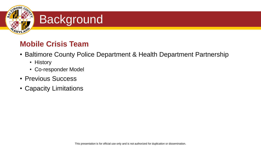

### **Mobile Crisis Team**

- Baltimore County Police Department & Health Department Partnership
	- History
	- Co-responder Model
- Previous Success
- Capacity Limitations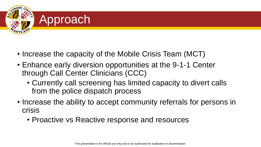

- Increase the capacity of the Mobile Crisis Team (MCT)
- Enhance early diversion opportunities at the 9-1-1 Center through Call Center Clinicians (CCC)
	- Currently call screening has limited capacity to divert calls from the police dispatch process
- Increase the ability to accept community referrals for persons in crisis
	- Proactive vs Reactive response and resources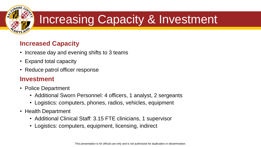

# Increasing Capacity & Investment

### **Increased Capacity**

- Increase day and evening shifts to 3 teams
- Expand total capacity
- Reduce patrol officer response

#### **Investment**

- Police Department
	- Additional Sworn Personnel: 4 officers, 1 analyst, 2 sergeants
	- Logistics: computers, phones, radios, vehicles, equipment
- Health Department
	- Additional Clinical Staff: 3.15 FTE clinicians, 1 supervisor
	- Logistics: computers, equipment, licensing, indirect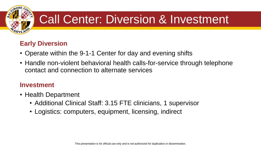

# Call Center: Diversion & Investment

### **Early Diversion**

- Operate within the 9-1-1 Center for day and evening shifts
- Handle non-violent behavioral health calls-for-service through telephone contact and connection to alternate services

#### **Investment**

- Health Department
	- Additional Clinical Staff: 3.15 FTE clinicians, 1 supervisor
	- Logistics: computers, equipment, licensing, indirect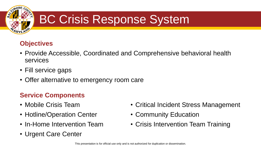

# BC Crisis Response System

### **Objectives**

- Provide Accessible, Coordinated and Comprehensive behavioral health services
- Fill service gaps
- Offer alternative to emergency room care

### **Service Components**

- Mobile Crisis Team
- Hotline/Operation Center
- In-Home Intervention Team
- Urgent Care Center
- Critical Incident Stress Management
- Community Education
- Crisis Intervention Team Training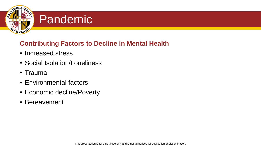

## **Pandemic**

#### **Contributing Factors to Decline in Mental Health**

- Increased stress
- Social Isolation/Loneliness
- Trauma
- Environmental factors
- Economic decline/Poverty
- Bereavement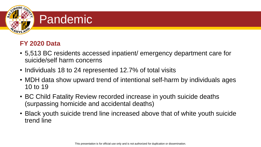

#### **FY 2020 Data**

- 5,513 BC residents accessed inpatient/ emergency department care for suicide/self harm concerns
- Individuals 18 to 24 represented 12.7% of total visits
- MDH data show upward trend of intentional self-harm by individuals ages 10 to 19
- BC Child Fatality Review recorded increase in youth suicide deaths (surpassing homicide and accidental deaths)
- Black youth suicide trend line increased above that of white youth suicide trend line